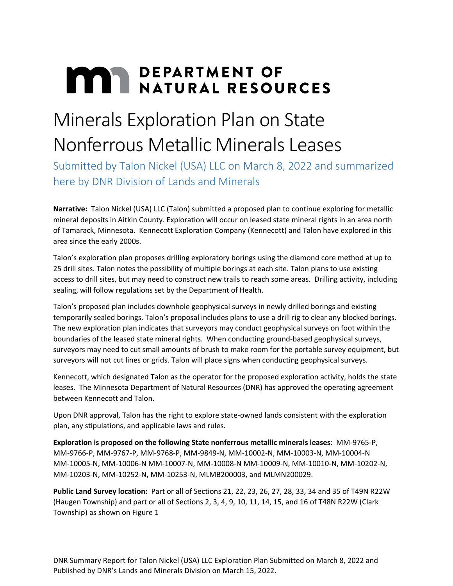## **MAY DEPARTMENT OF NATURAL RESOURCES**

## Minerals Exploration Plan on State Nonferrous Metallic Minerals Leases

Submitted by Talon Nickel (USA) LLC on March 8, 2022 and summarized here by DNR Division of Lands and Minerals

**Narrative:** Talon Nickel (USA) LLC (Talon) submitted a proposed plan to continue exploring for metallic mineral deposits in Aitkin County. Exploration will occur on leased state mineral rights in an area north of Tamarack, Minnesota. Kennecott Exploration Company (Kennecott) and Talon have explored in this area since the early 2000s.

Talon's exploration plan proposes drilling exploratory borings using the diamond core method at up to 25 drill sites. Talon notes the possibility of multiple borings at each site. Talon plans to use existing access to drill sites, but may need to construct new trails to reach some areas. Drilling activity, including sealing, will follow regulations set by the Department of Health.

Talon's proposed plan includes downhole geophysical surveys in newly drilled borings and existing temporarily sealed borings. Talon's proposal includes plans to use a drill rig to clear any blocked borings. The new exploration plan indicates that surveyors may conduct geophysical surveys on foot within the boundaries of the leased state mineral rights. When conducting ground-based geophysical surveys, surveyors may need to cut small amounts of brush to make room for the portable survey equipment, but surveyors will not cut lines or grids. Talon will place signs when conducting geophysical surveys.

Kennecott, which designated Talon as the operator for the proposed exploration activity, holds the state leases. The Minnesota Department of Natural Resources (DNR) has approved the operating agreement between Kennecott and Talon.

Upon DNR approval, Talon has the right to explore state-owned lands consistent with the exploration plan, any stipulations, and applicable laws and rules.

**Exploration is proposed on the following State nonferrous metallic minerals leases**: MM-9765-P, MM-9766-P, MM-9767-P, MM-9768-P, MM-9849-N, MM-10002-N, MM-10003-N, MM-10004-N MM-10005-N, MM-10006-N MM-10007-N, MM-10008-N MM-10009-N, MM-10010-N, MM-10202-N, MM-10203-N, MM-10252-N, MM-10253-N, MLMB200003, and MLMN200029.

**Public Land Survey location:** Part or all of Sections 21, 22, 23, 26, 27, 28, 33, 34 and 35 of T49N R22W (Haugen Township) and part or all of Sections 2, 3, 4, 9, 10, 11, 14, 15, and 16 of T48N R22W (Clark Township) as shown on Figure 1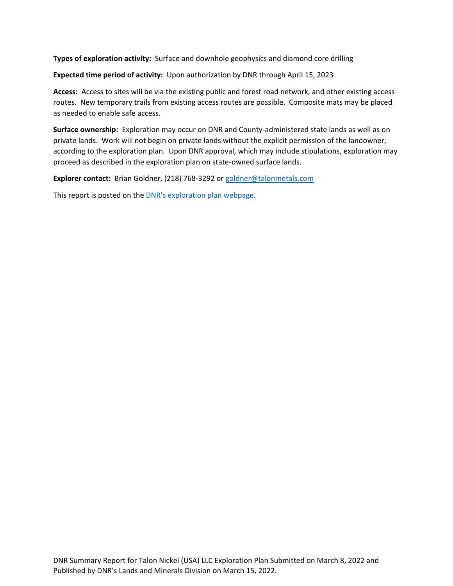**Types of exploration activity:** Surface and downhole geophysics and diamond core drilling

**Expected time period of activity:** Upon authorization by DNR through April 15, 2023

**Access:** Access to sites will be via the existing public and forest road network, and other existing access routes. New temporary trails from existing access routes are possible. Composite mats may be placed as needed to enable safe access.

**Surface ownership:** Exploration may occur on DNR and County-administered state lands as well as on private lands. Work will not begin on private lands without the explicit permission of the landowner, according to the exploration plan. Upon DNR approval, which may include stipulations, exploration may proceed as described in the exploration plan on state-owned surface lands.

**Explorer contact:** Brian Goldner, (218) 768-3292 or [goldner@talonmetals.com](mailto:goldner@talonmetals.com)

This report is posted on the **DNR's exploration plan webpage**.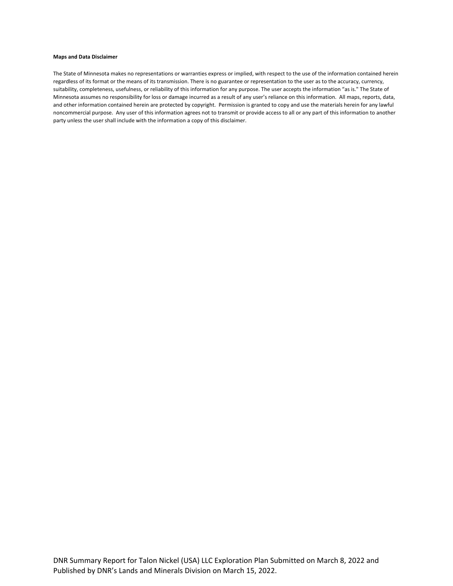## **Maps and Data Disclaimer**

The State of Minnesota makes no representations or warranties express or implied, with respect to the use of the information contained herein regardless of its format or the means of its transmission. There is no guarantee or representation to the user as to the accuracy, currency, suitability, completeness, usefulness, or reliability of this information for any purpose. The user accepts the information "as is." The State of Minnesota assumes no responsibility for loss or damage incurred as a result of any user's reliance on this information. All maps, reports, data, and other information contained herein are protected by copyright. Permission is granted to copy and use the materials herein for any lawful noncommercial purpose. Any user of this information agrees not to transmit or provide access to all or any part of this information to another party unless the user shall include with the information a copy of this disclaimer.